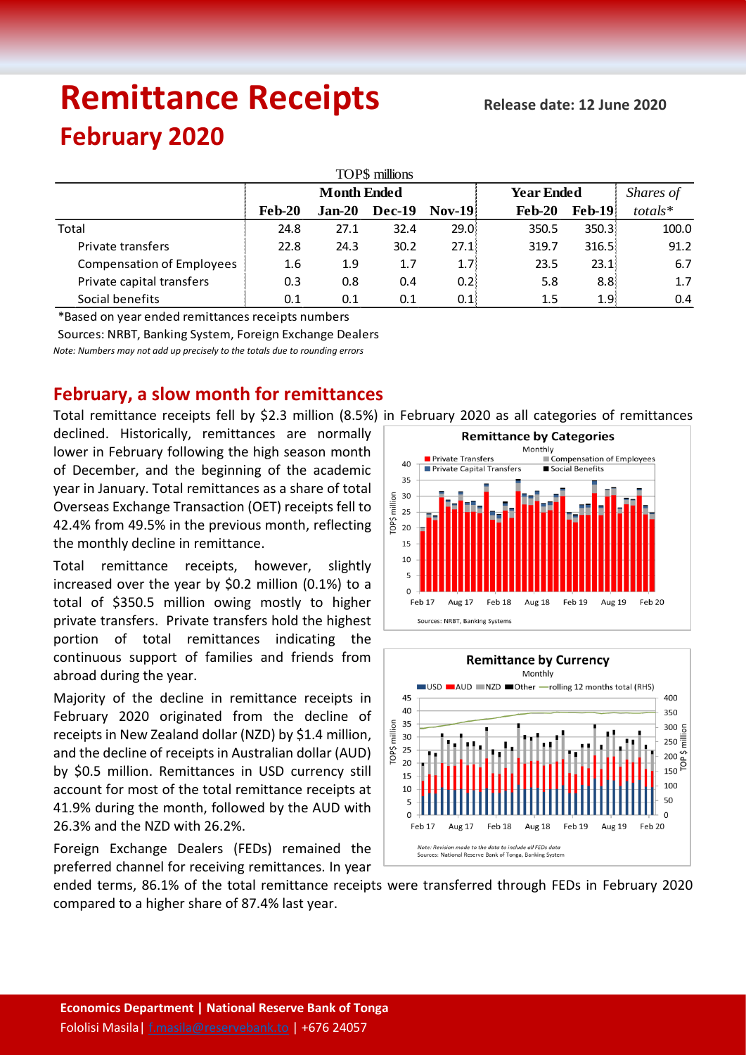# **Remittance Receipts February 2020**

| TOP\$ millions                   |                    |          |               |                  |                   |                    |           |  |  |  |  |  |  |
|----------------------------------|--------------------|----------|---------------|------------------|-------------------|--------------------|-----------|--|--|--|--|--|--|
|                                  | <b>Month Ended</b> |          |               |                  | <b>Year Ended</b> |                    | Shares of |  |  |  |  |  |  |
|                                  | <b>Feb-20</b>      | $Jan-20$ | <b>Dec-19</b> | <b>Nov-19</b>    | $Feb-20$          | <b>Feb-19</b>      | totals*   |  |  |  |  |  |  |
| Total                            | 24.8               | 27.1     | 32.4          | 29.0             | 350.5             | 350.3 <sup>1</sup> | 100.0     |  |  |  |  |  |  |
| Private transfers                | 22.8               | 24.3     | 30.2          | 27.1             | 319.7             | 316.5:             | 91.2      |  |  |  |  |  |  |
| <b>Compensation of Employees</b> | 1.6                | 1.9      | 1.7           | 1.7 <sub>l</sub> | 23.5              | 23.1:              | 6.7       |  |  |  |  |  |  |
| Private capital transfers        | 0.3                | 0.8      | 0.4           | 0.21             | 5.8               | 8.8 <sup>1</sup>   | 1.7       |  |  |  |  |  |  |
| Social benefits                  | 0.1                | 0.1      | 0.1           | 0.1              | 1.5               | 1.9 <sup>1</sup>   | 0.4       |  |  |  |  |  |  |

\*Based on year ended remittances receipts numbers

Sources: NRBT, Banking System, Foreign Exchange Dealers

*Note: Numbers may not add up precisely to the totals due to rounding errors*

## **February, a slow month for remittances**

Total remittance receipts fell by \$2.3 million (8.5%) in February 2020 as all categories of remittances

declined. Historically, remittances are normally lower in February following the high season month of December, and the beginning of the academic year in January. Total remittances as a share of total Overseas Exchange Transaction (OET) receipts fell to 42.4% from 49.5% in the previous month, reflecting the monthly decline in remittance.

Total remittance receipts, however, slightly increased over the year by \$0.2 million (0.1%) to a total of \$350.5 million owing mostly to higher private transfers. Private transfers hold the highest portion of total remittances indicating the continuous support of families and friends from abroad during the year.

Majority of the decline in remittance receipts in February 2020 originated from the decline of receipts in New Zealand dollar (NZD) by \$1.4 million, and the decline of receipts in Australian dollar (AUD) by \$0.5 million. Remittances in USD currency still account for most of the total remittance receipts at 41.9% during the month, followed by the AUD with 26.3% and the NZD with 26.2%.

Foreign Exchange Dealers (FEDs) remained the preferred channel for receiving remittances. In year

**Remittance by Categories** Monthly …,<br>■ Compensation of Employees Private Transfers  $40$ Private Capital Transfers Social Benefits 35 million 30 25 TOP\$ 20 15  $10$ 5  $\overline{O}$ Aug 17 Feb 18 Aug 18 Feb 19 **Aug 19** Feb 20 Feb 17 Sources: NRBT, Banking Systems



ended terms, 86.1% of the total remittance receipts were transferred through FEDs in February 2020 compared to a higher share of 87.4% last year.